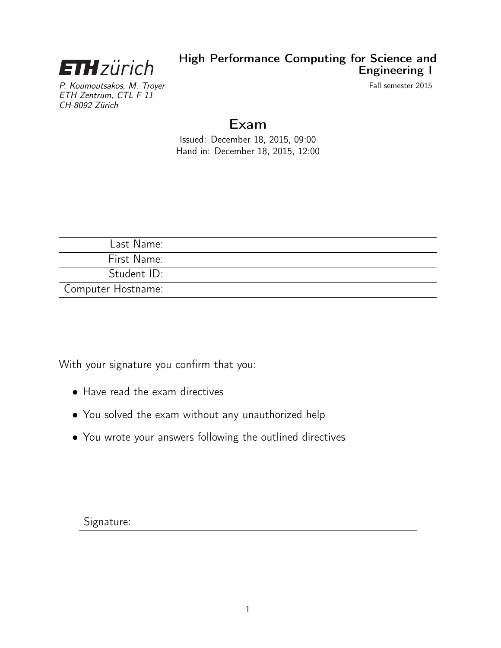

P. Koumoutsakos, M. Troyer Channel States and Trumper Controller and Trumper Controller and Fall semester 2015 ETH Zentrum, CTL F 11 CH-8092 Zürich

# Exam

Issued: December 18, 2015, 09:00 Hand in: December 18, 2015, 12:00

| Last Name:         |  |
|--------------------|--|
| First Name:        |  |
| Student ID:        |  |
| Computer Hostname: |  |

With your signature you confirm that you:

- Have read the exam directives
- You solved the exam without any unauthorized help
- You wrote your answers following the outlined directives

Signature: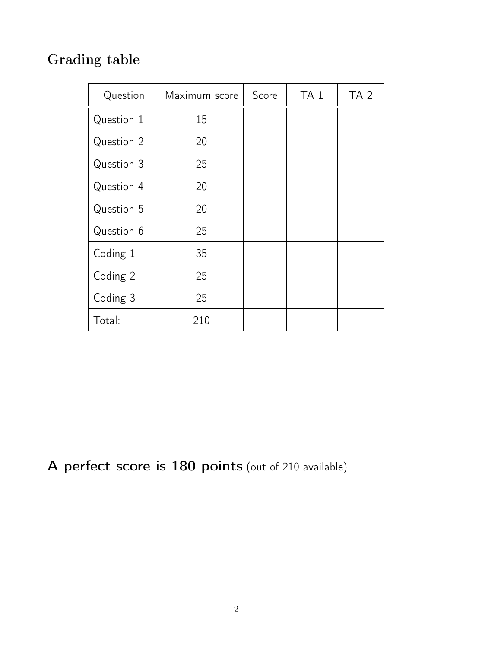# Grading table

| Question   | Maximum score | Score | TA <sub>1</sub> | TA <sub>2</sub> |
|------------|---------------|-------|-----------------|-----------------|
| Question 1 | 15            |       |                 |                 |
| Question 2 | 20            |       |                 |                 |
| Question 3 | 25            |       |                 |                 |
| Question 4 | 20            |       |                 |                 |
| Question 5 | 20            |       |                 |                 |
| Question 6 | 25            |       |                 |                 |
| Coding 1   | 35            |       |                 |                 |
| Coding 2   | 25            |       |                 |                 |
| Coding 3   | 25            |       |                 |                 |
| Total:     | 210           |       |                 |                 |

A perfect score is 180 points (out of 210 available).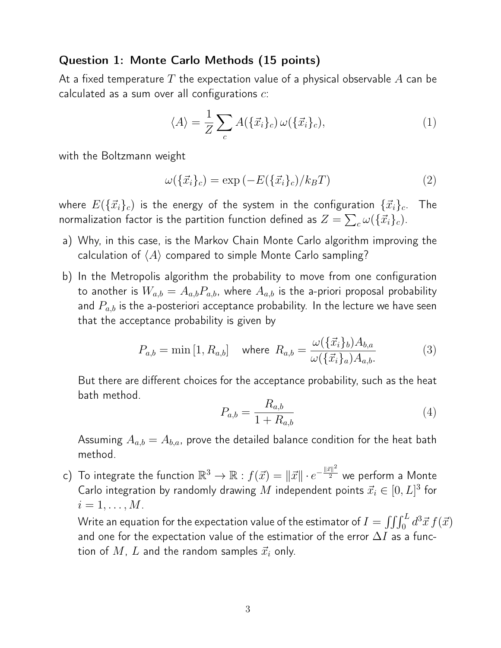#### Question 1: Monte Carlo Methods (15 points)

At a fixed temperature  $T$  the expectation value of a physical observable  $A$  can be calculated as a sum over all configurations  $c$ :

$$
\langle A \rangle = \frac{1}{Z} \sum_{c} A(\{\vec{x}_i\}_c) \,\omega(\{\vec{x}_i\}_c),\tag{1}
$$

with the Boltzmann weight

$$
\omega(\{\vec{x}_i\}_c) = \exp\left(-E(\{\vec{x}_i\}_c)/k_B T\right) \tag{2}
$$

where  $E(\{\vec{x}_i\}_c)$  is the energy of the system in the configuration  $\{\vec{x}_i\}_c$ . . The normalization factor is the partition function defined as  $Z = \sum_c \omega(\{\vec{x}_i\}_c)$ .

- a) Why, in this case, is the Markov Chain Monte Carlo algorithm improving the calculation of  $\langle A \rangle$  compared to simple Monte Carlo sampling?
- b) In the Metropolis algorithm the probability to move from one configuration to another is  $W_{a,b} = A_{a,b}P_{a,b}$ , where  $A_{a,b}$  is the a-priori proposal probability and  $P_{a,b}$  is the a-posteriori acceptance probability. In the lecture we have seen that the acceptance probability is given by

$$
P_{a,b} = \min\left[1, R_{a,b}\right] \quad \text{where} \quad R_{a,b} = \frac{\omega(\{\vec{x}_i\}_b)A_{b,a}}{\omega(\{\vec{x}_i\}_a)A_{a,b}} \tag{3}
$$

But there are different choices for the acceptance probability, such as the heat bath method.

$$
P_{a,b} = \frac{R_{a,b}}{1 + R_{a,b}}
$$
\n<sup>(4)</sup>

Assuming  $A_{a,b} = A_{b,a}$ , prove the detailed balance condition for the heat bath method.

c) To integrate the function  $\mathbb{R}^3 \to \mathbb{R}$  :  $f(\vec{x}) = \|\vec{x}\| \cdot e^{-\frac{\|\vec{x}\|^2}{2}}$  we perform a Monte Carlo integration by randomly drawing  $M$  independent points  $\vec{x}_i \in [0,L]^3$  for  $i=1,\ldots,M$ .

Write an equation for the expectation value of the estimator of  $I = \int \!\!\int \!\!\int_0^L d^3\vec x\, f(\vec x)$ and one for the expectation value of the estimatior of the error  $\Delta I$  as a function of M, L and the random samples  $\vec{x}_i$  only.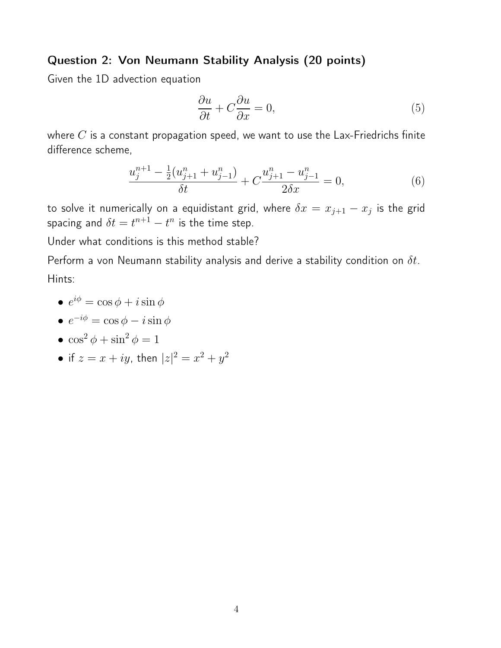#### Question 2: Von Neumann Stability Analysis (20 points)

Given the 1D advection equation

$$
\frac{\partial u}{\partial t} + C \frac{\partial u}{\partial x} = 0,\t\t(5)
$$

where  $C$  is a constant propagation speed, we want to use the Lax-Friedrichs finite difference scheme,

$$
\frac{u_j^{n+1} - \frac{1}{2}(u_{j+1}^n + u_{j-1}^n)}{\delta t} + C \frac{u_{j+1}^n - u_{j-1}^n}{2\delta x} = 0,\tag{6}
$$

to solve it numerically on a equidistant grid, where  $\delta x = x_{j+1} - x_j$  is the grid spacing and  $\delta t = t^{n+1} - t^n$  is the time step.

Under what conditions is this method stable?

Perform a von Neumann stability analysis and derive a stability condition on  $\delta t$ . Hints:

•  $e^{i\phi} = \cos\phi + i\sin\phi$ 

$$
\bullet \ e^{-i\phi} = \cos\phi - i\sin\phi
$$

- $\cos^2 \phi + \sin^2 \phi = 1$
- $\bullet$  if  $z = x + iy$ , then  $|z|^2 = x^2 + y^2$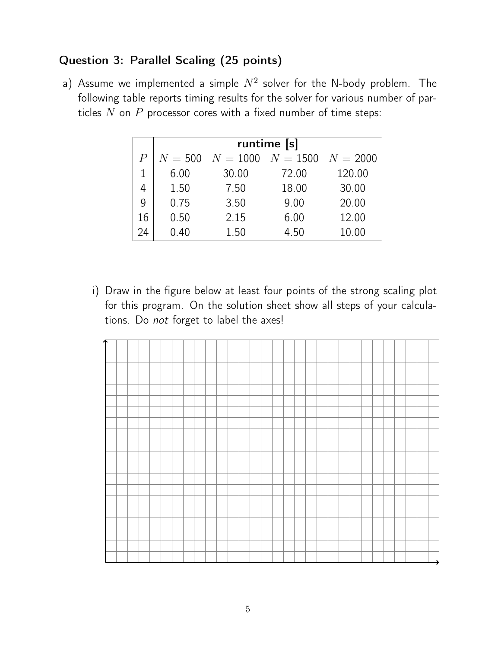### Question 3: Parallel Scaling (25 points)

a) Assume we implemented a simple  $N^2$  solver for the N-body problem. The following table reports timing results for the solver for various number of particles  $N$  on  $P$  processor cores with a fixed number of time steps:

|                | runtime [s] |                       |       |            |  |  |
|----------------|-------------|-----------------------|-------|------------|--|--|
| $\overline{P}$ | $N = 500$   | $N = 1000$ $N = 1500$ |       | $N = 2000$ |  |  |
|                | 6.00        | 30.00                 | 72.00 | 120.00     |  |  |
| 4              | 1.50        | 7.50                  | 18.00 | 30.00      |  |  |
| $\mathsf{Q}$   | 0.75        | 3.50                  | 9.00  | 20.00      |  |  |
| 16             | 0.50        | 2.15                  | 6.00  | 12.00      |  |  |
| 24             | 0.40        | 1.50                  | 4.50  | 10.00      |  |  |

i) Draw in the figure below at least four points of the strong scaling plot for this program. On the solution sheet show all steps of your calculations. Do not forget to label the axes!

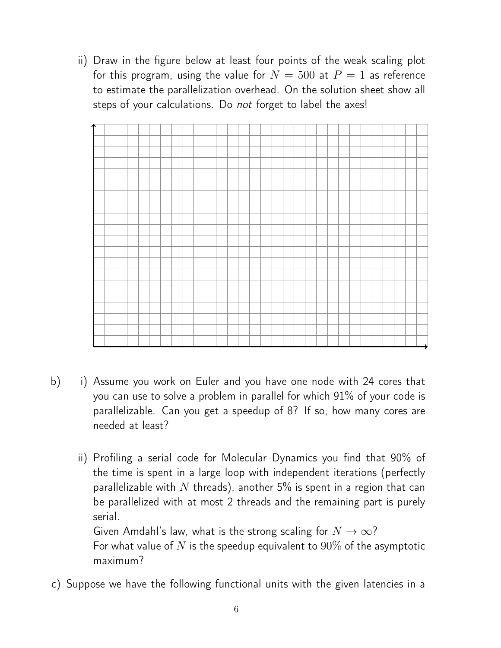ii) Draw in the figure below at least four points of the weak scaling plot for this program, using the value for  $N = 500$  at  $P = 1$  as reference to estimate the parallelization overhead. On the solution sheet show all steps of your calculations. Do not forget to label the axes!



- b) i) Assume you work on Euler and you have one node with 24 cores that you can use to solve a problem in parallel for which 91% of your code is parallelizable. Can you get a speedup of 8? If so, how many cores are needed at least?
	- ii) Profiling a serial code for Molecular Dynamics you find that 90% of the time is spent in a large loop with independent iterations (perfectly parallelizable with N threads), another 5% is spent in a region that can be parallelized with at most 2 threads and the remaining part is purely serial.

Given Amdahl's law, what is the strong scaling for  $N \to \infty$ ? For what value of N is the speedup equivalent to  $90\%$  of the asymptotic maximum?

c) Suppose we have the following functional units with the given latencies in a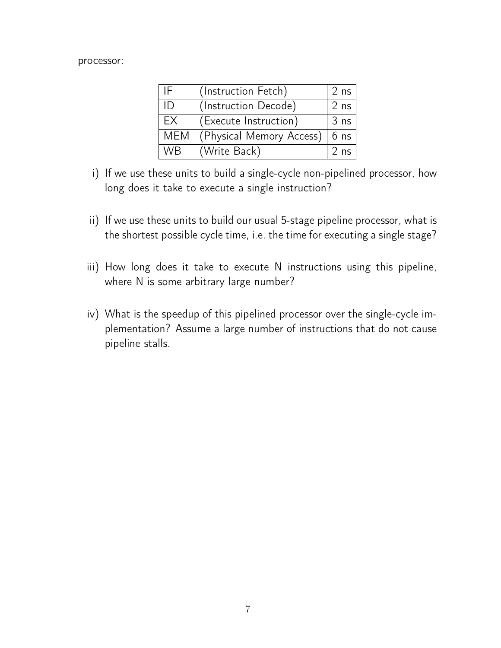#### processor:

| IF.        | (Instruction Fetch)      | 2 <sub>ns</sub> |
|------------|--------------------------|-----------------|
| ID         | (Instruction Decode)     | $2$ ns          |
| EX         | (Execute Instruction)    | 3 <sub>ns</sub> |
| <b>MEM</b> | (Physical Memory Access) | $ 6$ ns         |
| WB.        | (Write Back)             | 2 <sub>ns</sub> |

- i) If we use these units to build a single-cycle non-pipelined processor, how long does it take to execute a single instruction?
- ii) If we use these units to build our usual 5-stage pipeline processor, what is the shortest possible cycle time, i.e. the time for executing a single stage?
- iii) How long does it take to execute N instructions using this pipeline, where N is some arbitrary large number?
- iv) What is the speedup of this pipelined processor over the single-cycle implementation? Assume a large number of instructions that do not cause pipeline stalls.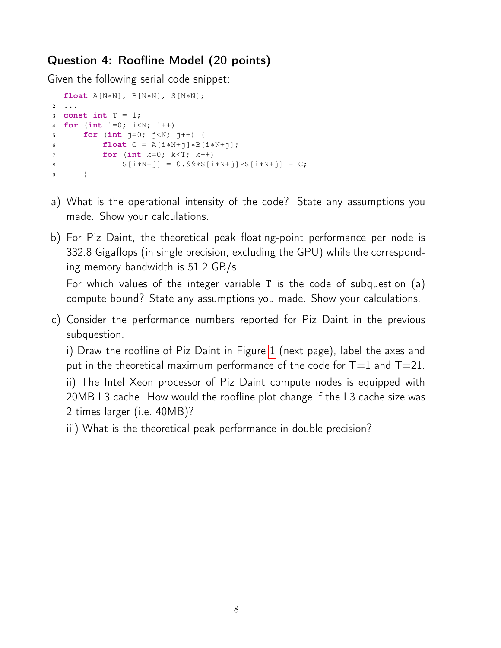#### Question 4: Roofline Model (20 points)

Given the following serial code snippet:

```
1 float A[N∗N], B[N∗N], S[N∗N];
2 ...
3 const int T = 1;
4 for (int i=0; i<N; i++)
5 for (int j=0; j<N; j++) {
6 float C = A[i*N+j]*B[i*N+j];7 for (int k=0; k<T; k++)
8 S[i∗N+j] = 0.99∗S[i∗N+j]∗S[i∗N+j] + C;
9 }
```
- a) What is the operational intensity of the code? State any assumptions you made. Show your calculations.
- b) For Piz Daint, the theoretical peak floating-point performance per node is 332.8 Gigaflops (in single precision, excluding the GPU) while the corresponding memory bandwidth is 51.2 GB/s.

For which values of the integer variable T is the code of subquestion (a) compute bound? State any assumptions you made. Show your calculations.

c) Consider the performance numbers reported for Piz Daint in the previous subquestion.

i) Draw the roofline of Piz Daint in Figure [1](#page-8-0) (next page), label the axes and put in the theoretical maximum performance of the code for  $T=1$  and  $T=21$ . ii) The Intel Xeon processor of Piz Daint compute nodes is equipped with 20MB L3 cache. How would the roofline plot change if the L3 cache size was 2 times larger (i.e. 40MB)?

iii) What is the theoretical peak performance in double precision?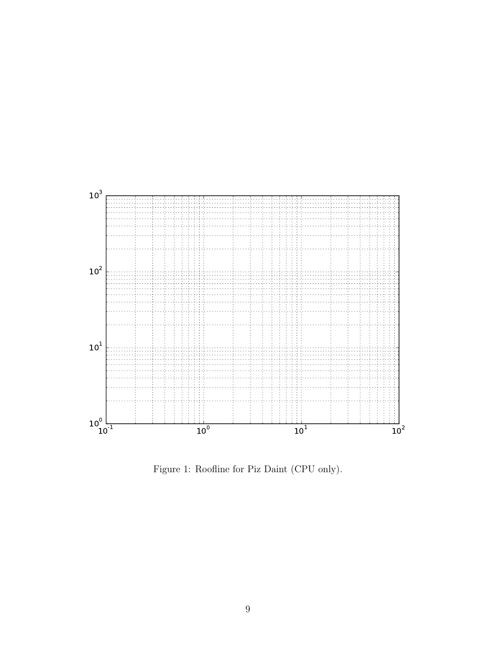

<span id="page-8-0"></span>Figure 1: Roofline for Piz Daint (CPU only).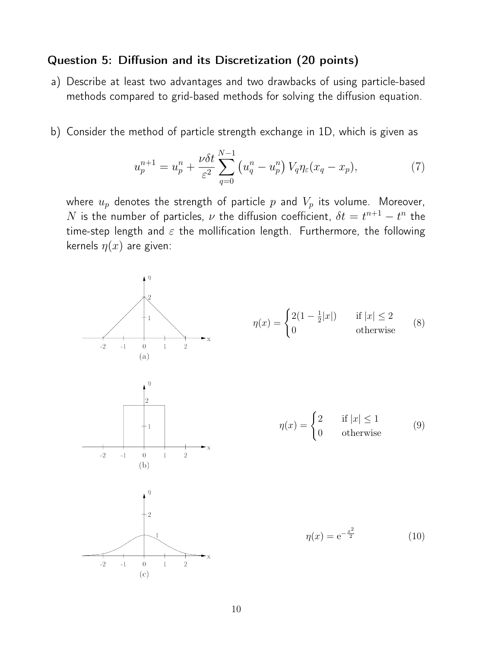#### Question 5: Diffusion and its Discretization (20 points)

- a) Describe at least two advantages and two drawbacks of using particle-based methods compared to grid-based methods for solving the diffusion equation.
- b) Consider the method of particle strength exchange in 1D, which is given as

$$
u_p^{n+1} = u_p^n + \frac{\nu \delta t}{\varepsilon^2} \sum_{q=0}^{N-1} \left( u_q^n - u_p^n \right) V_q \eta_{\varepsilon} (x_q - x_p), \tag{7}
$$

where  $u_p$  denotes the strength of particle p and  $V_p$  its volume. Moreover,  $N$  is the number of particles,  $\nu$  the diffusion coefficient,  $\delta t = t^{n+1} - t^n$  the time-step length and  $\varepsilon$  the mollification length. Furthermore, the following kernels  $\eta(x)$  are given:

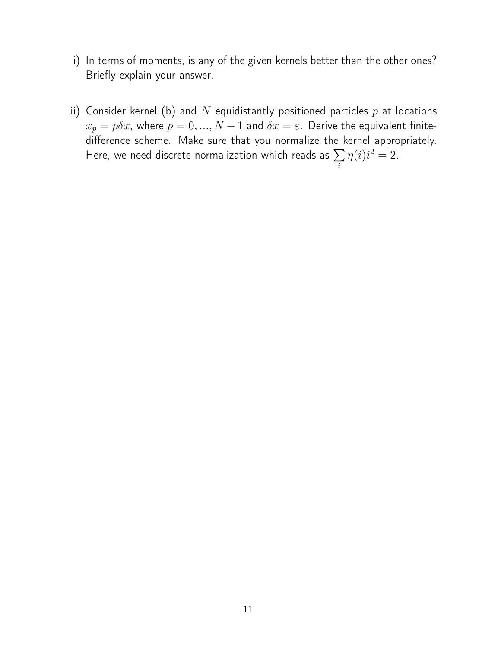- i) In terms of moments, is any of the given kernels better than the other ones? Briefly explain your answer.
- ii) Consider kernel (b) and N equidistantly positioned particles  $p$  at locations  $x_p = p\delta x$ , where  $p = 0, ..., N - 1$  and  $\delta x = \varepsilon$ . Derive the equivalent finitedifference scheme. Make sure that you normalize the kernel appropriately. Here, we need discrete normalization which reads as  $\sum$  $\eta(i)i^2=2.$

i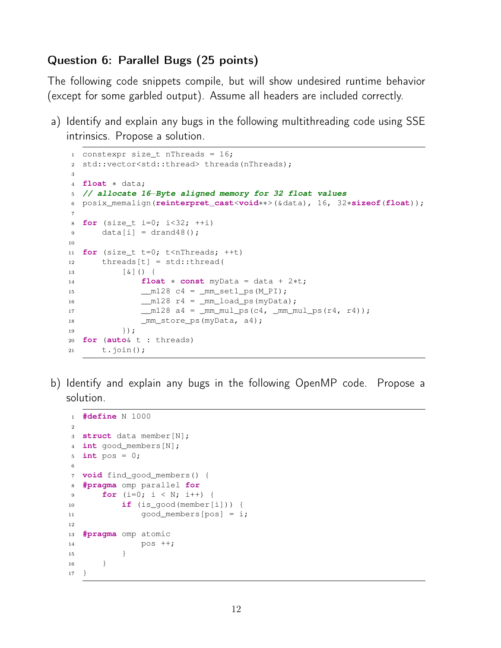#### Question 6: Parallel Bugs (25 points)

The following code snippets compile, but will show undesired runtime behavior (except for some garbled output). Assume all headers are included correctly.

a) Identify and explain any bugs in the following multithreading code using SSE intrinsics. Propose a solution.

```
1 constexpr size t nThreads = 16;
2 std::vector<std::thread> threads(nThreads);
3
4 float ∗ data;
5 // allocate 16−Byte aligned memory for 32 float values
6 posix_memalign(reinterpret_cast<void∗∗>(&data), 16, 32∗sizeof(float));
7
8 for (size_t i=0; i<32; ++i)
9 data[i] = dram48();10
11 for (size_t t=0; t<nThreads; ++t)
12 threads[t] = std::thread(
13 [&]() {
14 float ∗ const myData = data + 2∗t;
15 ___ m128 c4 = _mm_set1_ps(M_PI);
16 __m128 r4 = _mm_load_ps(myData);
17   128 a4 = mm\_mul\_ps(c4, mm\_mul\_ps(r4, r4));18 mm_store_ps(myData, a4);
19 \{\}20 for (auto& t : threads)
21 t.join();
```
b) Identify and explain any bugs in the following OpenMP code. Propose a solution.

```
1 #define N 1000
\overline{2}3 struct data member[N];
4 int good_members[N];
5 int pos = 0;
6
7 void find_good_members() {
8 #pragma omp parallel for
9 for (i=0; i < N; i++) {
10 if (is_good(member[i])) {
11 \qquad \qquad \text{qood members}[\text{pos}] = i;12
13 #pragma omp atomic
14 pos ++;
15 }
16 }
17 }
```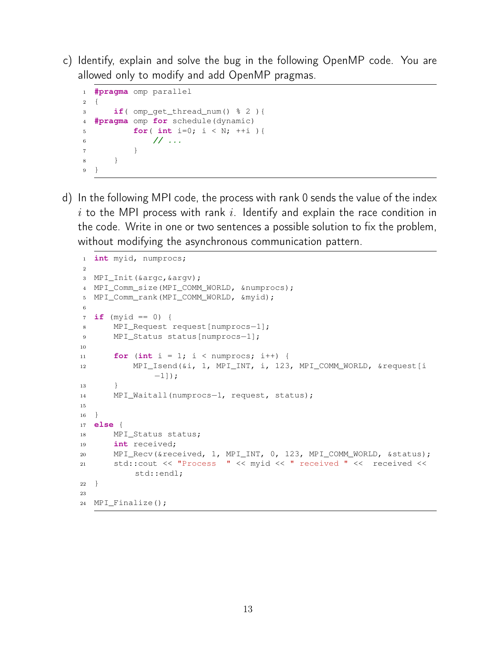c) Identify, explain and solve the bug in the following OpenMP code. You are allowed only to modify and add OpenMP pragmas.

```
1 #pragma omp parallel
2 {
3 if( omp_get_thread_num() % 2 ){
4 #pragma omp for schedule(dynamic)
5 for( int i=0; i < N; ++i ){
6 // ...
7 }
8 }
9 }
```
d) In the following MPI code, the process with rank 0 sends the value of the index  $i$  to the MPI process with rank  $i$ . Identify and explain the race condition in the code. Write in one or two sentences a possible solution to fix the problem, without modifying the asynchronous communication pattern.

```
1 int myid, numprocs;
2
3 MPI_Init(&argc,&argv);
4 MPI_Comm_size(MPI_COMM_WORLD, &numprocs);
5 MPI_Comm_rank(MPI_COMM_WORLD, &myid);
6
7 \text{ if } (myid == 0)8 MPI_Request request[numprocs−1];
9 MPI_Status status[numprocs-1];
10
11 for (int i = 1; i < numprocs; i++) {
12 MPI_Isend(&i, 1, MPI_INT, i, 123, MPI_COMM_WORLD, &request[i
              −1]);
13 }
14 MPI_Waitall(numprocs-1, request, status);
15
16 }
17 else {
18 MPI_Status status;
19 int received;
20 MPI_Recv(&received, 1, MPI_INT, 0, 123, MPI_COMM_WORLD, &status);
21 std::cout << "Process " << myid << " received " << received <<
          std::endl;
22 }
2324 MPI_Finalize();
```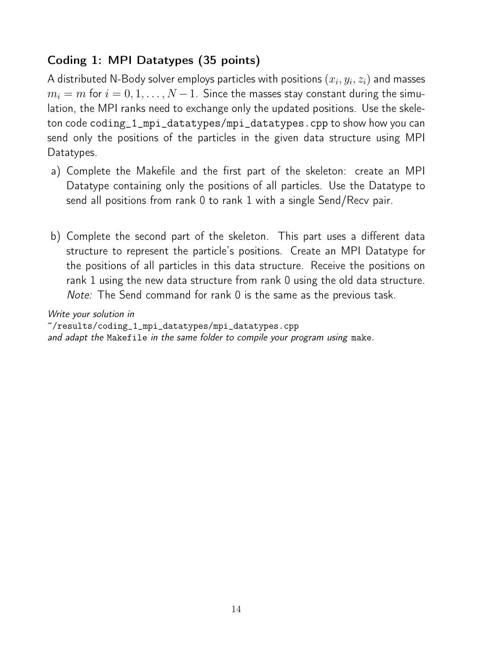## Coding 1: MPI Datatypes (35 points)

A distributed N-Body solver employs particles with positions  $\left(x_i, y_i, z_i\right)$  and masses  $m_i = m$  for  $i = 0, 1, ..., N - 1$ . Since the masses stay constant during the simulation, the MPI ranks need to exchange only the updated positions. Use the skeleton code coding\_1\_mpi\_datatypes/mpi\_datatypes.cpp to show how you can send only the positions of the particles in the given data structure using MPI Datatypes.

- a) Complete the Makefile and the first part of the skeleton: create an MPI Datatype containing only the positions of all particles. Use the Datatype to send all positions from rank 0 to rank 1 with a single Send/Recv pair.
- b) Complete the second part of the skeleton. This part uses a different data structure to represent the particle's positions. Create an MPI Datatype for the positions of all particles in this data structure. Receive the positions on rank 1 using the new data structure from rank 0 using the old data structure. Note: The Send command for rank 0 is the same as the previous task.

Write your solution in

~/results/coding\_1\_mpi\_datatypes/mpi\_datatypes.cpp and adapt the Makefile in the same folder to compile your program using make.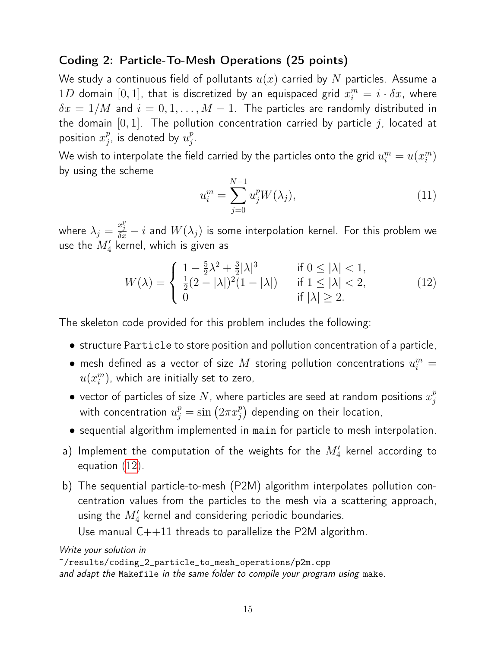#### Coding 2: Particle-To-Mesh Operations (25 points)

We study a continuous field of pollutants  $u(x)$  carried by N particles. Assume a  $1D$  domain  $[0,1]$ , that is discretized by an equispaced grid  $x_i^m = i \cdot \delta x$ , where  $\delta x = 1/M$  and  $i = 0, 1, ..., M - 1$ . The particles are randomly distributed in the domain  $[0, 1]$ . The pollution concentration carried by particle j, located at position  $x_i^p$  $\frac{p}{j}$ , is denoted by  $u_j^p$  $_{j}^{p}.$ 

We wish to interpolate the field carried by the particles onto the grid  $u_i^m=u(x_i^m)$  $\binom{m}{i}$ by using the scheme

$$
u_i^m = \sum_{j=0}^{N-1} u_j^p W(\lambda_j),
$$
\n(11)

where  $\lambda_j=\frac{x_j^p}{\delta x}-i$  and  $W(\lambda_j)$  is some interpolation kernel. For this problem we use the  $M_4^\prime$  kernel, which is given as

<span id="page-14-0"></span>
$$
W(\lambda) = \begin{cases} 1 - \frac{5}{2}\lambda^2 + \frac{3}{2}|\lambda|^3 & \text{if } 0 \le |\lambda| < 1, \\ \frac{1}{2}(2 - |\lambda|)^2 (1 - |\lambda|) & \text{if } 1 \le |\lambda| < 2, \\ 0 & \text{if } |\lambda| \ge 2. \end{cases}
$$
(12)

The skeleton code provided for this problem includes the following:

- structure Particle to store position and pollution concentration of a particle,
- $\bullet$  mesh defined as a vector of size  $M$  storing pollution concentrations  $u_i^m =$  $u(x_i^m)$  $_i^m$ ), which are initially set to zero,
- $\bullet\,$  vector of particles of size  $N$ , where particles are seed at random positions  $x_i^p$ j with concentration  $u_j^p = \sin\left(2\pi x_j^p\right)$  $\binom{p}{j}$  depending on their location,
- sequential algorithm implemented in main for particle to mesh interpolation.
- a) Implement the computation of the weights for the  $M_4^\prime$  kernel according to equation [\(12\)](#page-14-0).
- b) The sequential particle-to-mesh (P2M) algorithm interpolates pollution concentration values from the particles to the mesh via a scattering approach, using the  $M_4^\prime$  kernel and considering periodic boundaries.

Use manual  $C++11$  threads to parallelize the P2M algorithm.

Write your solution in

```
~/results/coding_2_particle_to_mesh_operations/p2m.cpp
and adapt the Makefile in the same folder to compile your program using make.
```